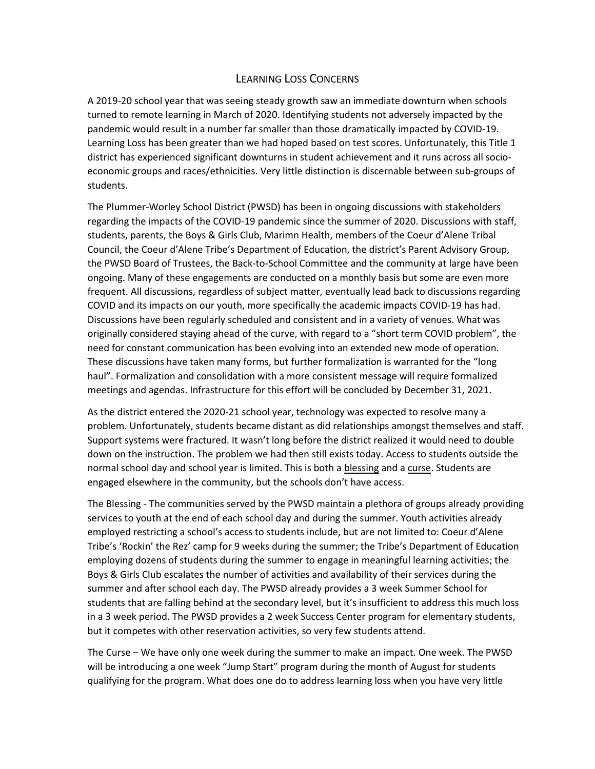## LEARNING LOSS CONCERNS

A 2019-20 school year that was seeing steady growth saw an immediate downturn when schools turned to remote learning in March of 2020. Identifying students not adversely impacted by the pandemic would result in a number far smaller than those dramatically impacted by COVID-19. Learning Loss has been greater than we had hoped based on test scores. Unfortunately, this Title 1 district has experienced significant downturns in student achievement and it runs across all socioeconomic groups and races/ethnicities. Very little distinction is discernable between sub-groups of students.

The Plummer-Worley School District (PWSD) has been in ongoing discussions with stakeholders regarding the impacts of the COVID-19 pandemic since the summer of 2020. Discussions with staff, students, parents, the Boys & Girls Club, Marimn Health, members of the Coeur d'Alene Tribal Council, the Coeur d'Alene Tribe's Department of Education, the district's Parent Advisory Group, the PWSD Board of Trustees, the Back-to-School Committee and the community at large have been ongoing. Many of these engagements are conducted on a monthly basis but some are even more frequent. All discussions, regardless of subject matter, eventually lead back to discussions regarding COVID and its impacts on our youth, more specifically the academic impacts COVID-19 has had. Discussions have been regularly scheduled and consistent and in a variety of venues. What was originally considered staying ahead of the curve, with regard to a "short term COVID problem", the need for constant communication has been evolving into an extended new mode of operation. These discussions have taken many forms, but further formalization is warranted for the "long haul". Formalization and consolidation with a more consistent message will require formalized meetings and agendas. Infrastructure for this effort will be concluded by December 31, 2021.

As the district entered the 2020-21 school year, technology was expected to resolve many a problem. Unfortunately, students became distant as did relationships amongst themselves and staff. Support systems were fractured. It wasn't long before the district realized it would need to double down on the instruction. The problem we had then still exists today. Access to students outside the normal school day and school year is limited. This is both a blessing and a curse. Students are engaged elsewhere in the community, but the schools don't have access.

The Blessing - The communities served by the PWSD maintain a plethora of groups already providing services to youth at the end of each school day and during the summer. Youth activities already employed restricting a school's access to students include, but are not limited to: Coeur d'Alene Tribe's 'Rockin' the Rez' camp for 9 weeks during the summer; the Tribe's Department of Education employing dozens of students during the summer to engage in meaningful learning activities; the Boys & Girls Club escalates the number of activities and availability of their services during the summer and after school each day. The PWSD already provides a 3 week Summer School for students that are falling behind at the secondary level, but it's insufficient to address this much loss in a 3 week period. The PWSD provides a 2 week Success Center program for elementary students, but it competes with other reservation activities, so very few students attend.

The Curse – We have only one week during the summer to make an impact. One week. The PWSD will be introducing a one week "Jump Start" program during the month of August for students qualifying for the program. What does one do to address learning loss when you have very little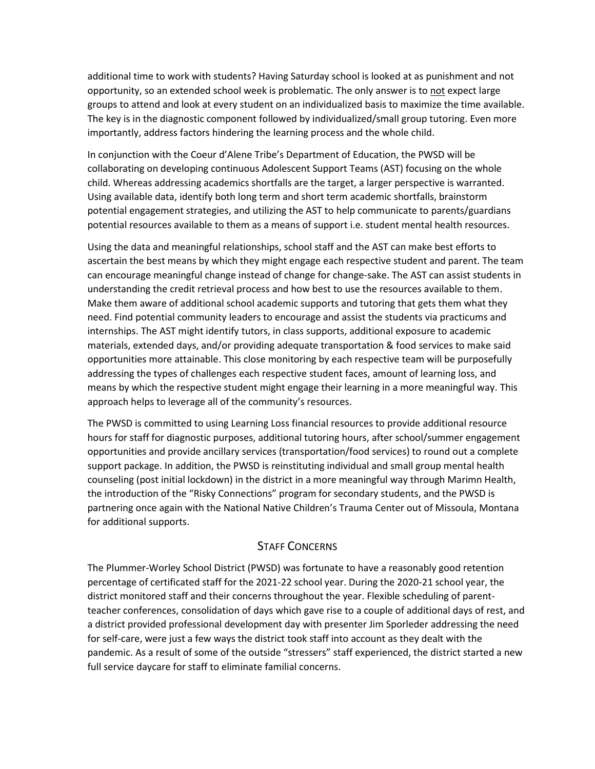additional time to work with students? Having Saturday school is looked at as punishment and not opportunity, so an extended school week is problematic. The only answer is to not expect large groups to attend and look at every student on an individualized basis to maximize the time available. The key is in the diagnostic component followed by individualized/small group tutoring. Even more importantly, address factors hindering the learning process and the whole child.

In conjunction with the Coeur d'Alene Tribe's Department of Education, the PWSD will be collaborating on developing continuous Adolescent Support Teams (AST) focusing on the whole child. Whereas addressing academics shortfalls are the target, a larger perspective is warranted. Using available data, identify both long term and short term academic shortfalls, brainstorm potential engagement strategies, and utilizing the AST to help communicate to parents/guardians potential resources available to them as a means of support i.e. student mental health resources.

Using the data and meaningful relationships, school staff and the AST can make best efforts to ascertain the best means by which they might engage each respective student and parent. The team can encourage meaningful change instead of change for change-sake. The AST can assist students in understanding the credit retrieval process and how best to use the resources available to them. Make them aware of additional school academic supports and tutoring that gets them what they need. Find potential community leaders to encourage and assist the students via practicums and internships. The AST might identify tutors, in class supports, additional exposure to academic materials, extended days, and/or providing adequate transportation & food services to make said opportunities more attainable. This close monitoring by each respective team will be purposefully addressing the types of challenges each respective student faces, amount of learning loss, and means by which the respective student might engage their learning in a more meaningful way. This approach helps to leverage all of the community's resources.

The PWSD is committed to using Learning Loss financial resources to provide additional resource hours for staff for diagnostic purposes, additional tutoring hours, after school/summer engagement opportunities and provide ancillary services (transportation/food services) to round out a complete support package. In addition, the PWSD is reinstituting individual and small group mental health counseling (post initial lockdown) in the district in a more meaningful way through Marimn Health, the introduction of the "Risky Connections" program for secondary students, and the PWSD is partnering once again with the National Native Children's Trauma Center out of Missoula, Montana for additional supports.

## STAFF CONCERNS

The Plummer-Worley School District (PWSD) was fortunate to have a reasonably good retention percentage of certificated staff for the 2021-22 school year. During the 2020-21 school year, the district monitored staff and their concerns throughout the year. Flexible scheduling of parentteacher conferences, consolidation of days which gave rise to a couple of additional days of rest, and a district provided professional development day with presenter Jim Sporleder addressing the need for self-care, were just a few ways the district took staff into account as they dealt with the pandemic. As a result of some of the outside "stressers" staff experienced, the district started a new full service daycare for staff to eliminate familial concerns.